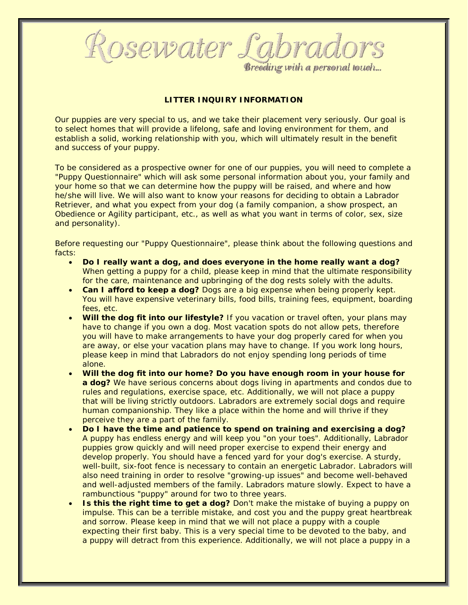Rosewater Labrade Breeding with a personal touch...

## **LITTER INQUIRY INFORMATION**

Our puppies are very special to us, and we take their placement very seriously. Our goal is to select homes that will provide a lifelong, safe and loving environment for them, and establish a solid, working relationship with you, which will ultimately result in the benefit and success of your puppy.

To be considered as a prospective owner for one of our puppies, you will need to complete a "Puppy Questionnaire" which will ask some personal information about you, your family and your home so that we can determine how the puppy will be raised, and where and how he/she will live. We will also want to know your reasons for deciding to obtain a Labrador Retriever, and what you expect from your dog (a family companion, a show prospect, an Obedience or Agility participant, etc., as well as what you want in terms of color, sex, size and personality).

Before requesting our "Puppy Questionnaire", please think about the following questions and facts:

- **Do I really want a dog, and does everyone in the home really want a dog?** When getting a puppy for a child, please keep in mind that the ultimate responsibility for the care, maintenance and upbringing of the dog rests solely with the adults.
- **Can I afford to keep a dog?** Dogs are a big expense when being properly kept. You will have expensive veterinary bills, food bills, training fees, equipment, boarding fees, etc.
- **Will the dog fit into our lifestyle?** If you vacation or travel often, your plans may have to change if you own a dog. Most vacation spots do not allow pets, therefore you will have to make arrangements to have your dog properly cared for when you are away, or else your vacation plans may have to change. If you work long hours, please keep in mind that Labradors do not enjoy spending long periods of time alone.
- **Will the dog fit into our home? Do you have enough room in your house for a dog?** We have serious concerns about dogs living in apartments and condos due to rules and regulations, exercise space, etc. Additionally, we will not place a puppy that will be living strictly outdoors. Labradors are extremely social dogs and require human companionship. They like a place within the home and will thrive if they perceive they are a part of the family.
- **Do I have the time and patience to spend on training and exercising a dog?**  A puppy has endless energy and will keep you "on your toes". Additionally, Labrador puppies grow quickly and will need proper exercise to expend their energy and develop properly. You should have a fenced yard for your dog's exercise. A sturdy, well-built, six-foot fence is necessary to contain an energetic Labrador. Labradors will also need training in order to resolve "growing-up issues" and become well-behaved and well-adjusted members of the family. Labradors mature slowly. Expect to have a rambunctious "puppy" around for two to three years.
- **Is this the right time to get a dog?** Don't make the mistake of buying a puppy on impulse. This can be a terrible mistake, and cost you and the puppy great heartbreak and sorrow. Please keep in mind that we will not place a puppy with a couple expecting their first baby. This is a very special time to be devoted to the baby, and a puppy will detract from this experience. Additionally, we will not place a puppy in a